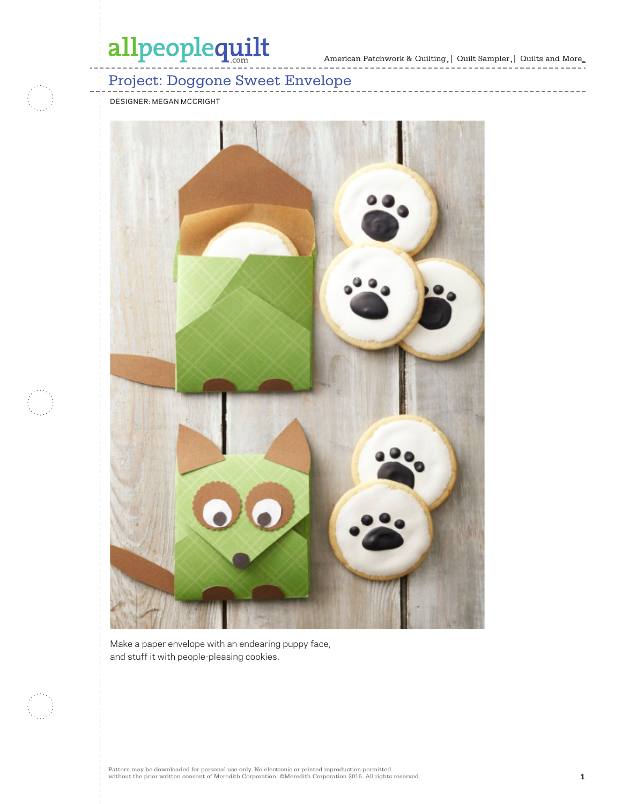American Patchwork & Quilting  $_{\circ} \, | \,$  Quilt Sampler  $_{\circ} \, | \,$  Quilts and More  $_{\circ \circ}$ 

----------

## Project: Doggone Sweet Envelope

DESIGNER: MEGAN MCCRIGHT



Make a paper envelope with an endearing puppy face, and stuff it with people-pleasing cookies.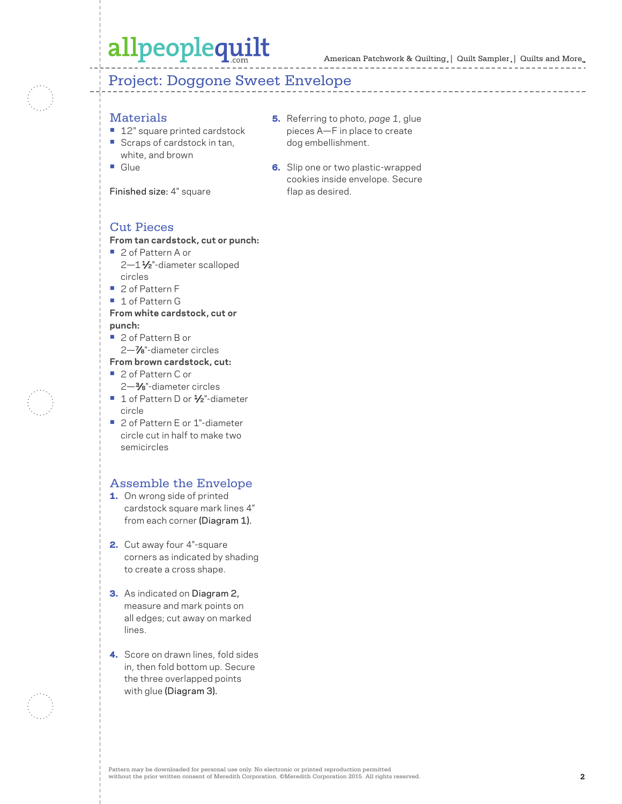### Project: Doggone Sweet Envelope

#### **Materials**

- **•** 12" square printed cardstock
- **•** Scraps of cardstock in tan, white, and brown
- **•** Glue

Finished size: 4" square

- 5. Referring to photo, *page 1*, glue pieces A—F in place to create dog embellishment.
- **6.** Slip one or two plastic-wrapped cookies inside envelope. Secure flap as desired.

### Cut Pieces

#### **From tan cardstock, cut or punch:**

- **•** 2 of Pattern A or 2-11/<sub>2</sub>"-diameter scalloped circles
- **•** 2 of Pattern F
- **•** 1 of Pattern G

#### **From white cardstock, cut or punch:**

- **•** 2 of Pattern B or
- 2—7⁄8"-diameter circles

#### **From brown cardstock, cut:**

- **•** 2 of Pattern C or 2—3⁄8"-diameter circles
- 1 of Pattern D or 1/<sub>2</sub>"-diameter circle
- 2 of Pattern E or 1"-diameter circle cut in half to make two semicircles

### Assemble the Envelope

- 1. On wrong side of printed cardstock square mark lines 4" from each corner (Diagram 1).
- 2. Cut away four 4"-square corners as indicated by shading to create a cross shape.
- 3. As indicated on Diagram 2, measure and mark points on all edges; cut away on marked lines.
- 4. Score on drawn lines, fold sides in, then fold bottom up. Secure the three overlapped points with glue (Diagram 3).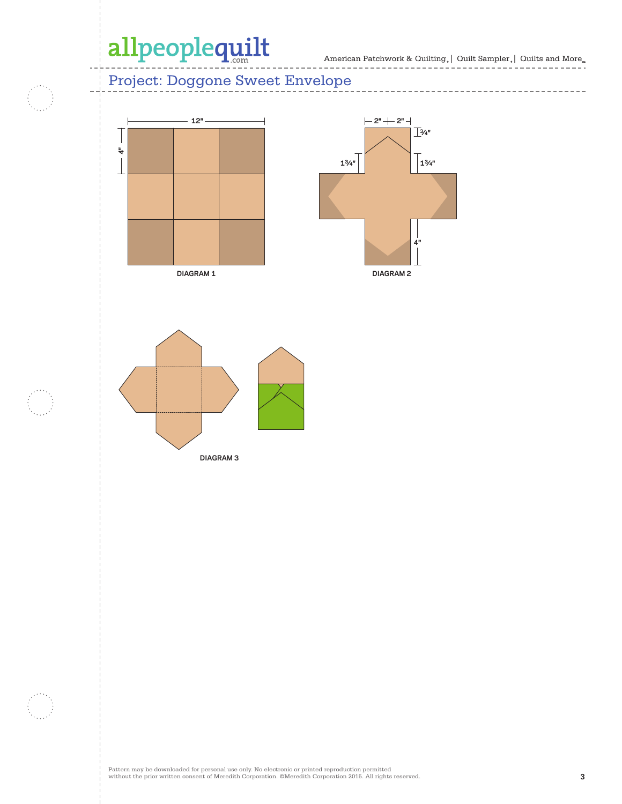---------------------

 $\bar{ }$  $-$ 

 $- - - - -$ 

### Project: Doggone Sweet Envelope